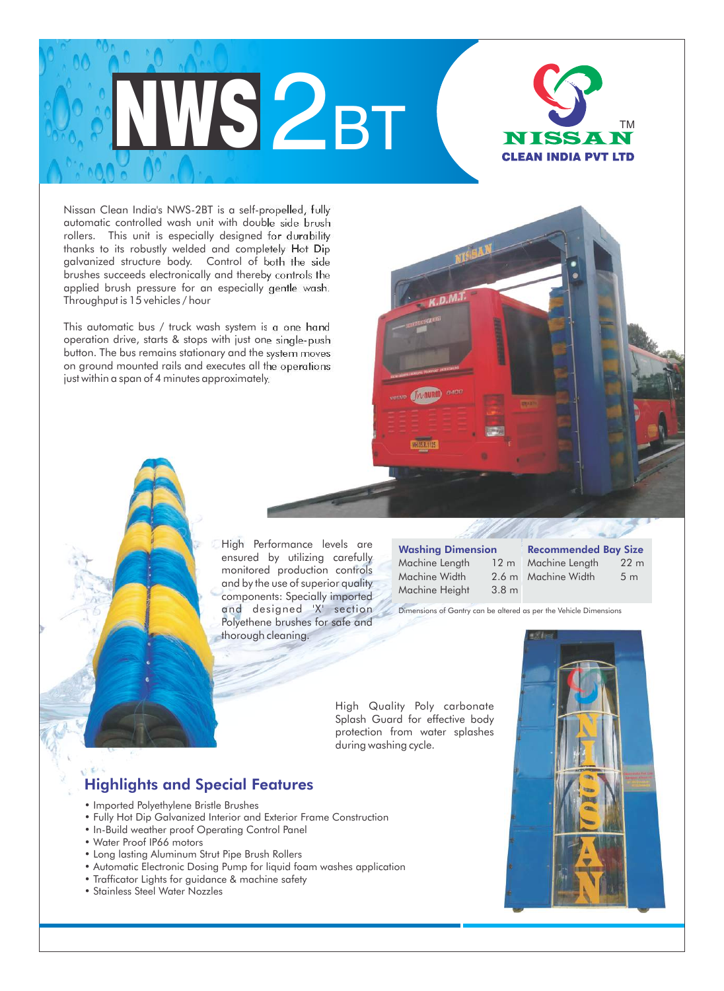

Nissan Clean India's NWS-2BT is a self-propelled, fully automatic controlled wash unit with double side brush rollers. This unit is especially designed for durability thanks to its robustly welded and completely Hot Dip galvanized structure body. Control of both the side brushes succeeds electronically and thereby controls the applied brush pressure for an especially gentle wash. Throughput is 15 vehicles / hour

This automatic bus / truck wash system is a one hand operation drive, starts & stops with just one single-push button. The bus remains stationary and the system moves on ground mounted rails and executes all the operations just within a span of 4 minutes approximately.

> High Performance levels are ensured by utilizing carefully monitored production controls and by the use of superior quality components: Specially imported and designed 'X' section Polyethene brushes for safe and thorough cleaning.

| <b>Washing Dimension</b> |                  |  |
|--------------------------|------------------|--|
| Machine Length           | 12 <sub>m</sub>  |  |
| Machine Width            | 2.6 <sub>m</sub> |  |
| Machine Height           | 3.8 <sub>m</sub> |  |

| <b>Recommended Bay Size</b> |                |
|-----------------------------|----------------|
| Machine Length              | $22 \text{ m}$ |
| Machine Width               | 5 <sub>m</sub> |
|                             |                |

Dimensions of Gantry can be altered as per the Vehicle Dimensions

High Quality Poly carbonate Splash Guard for effective body protection from water splashes during washing cycle.

## Highlights and Special Features

- Imported Polyethylene Bristle Brushes
- Fully Hot Dip Galvanized Interior and Exterior Frame Construction
- In-Build weather proof Operating Control Panel
- Water Proof IP66 motors
- Long lasting Aluminum Strut Pipe Brush Rollers
- Automatic Electronic Dosing Pump for liquid foam washes application
- Trafficator Lights for guidance & machine safety
- Stainless Steel Water Nozzles